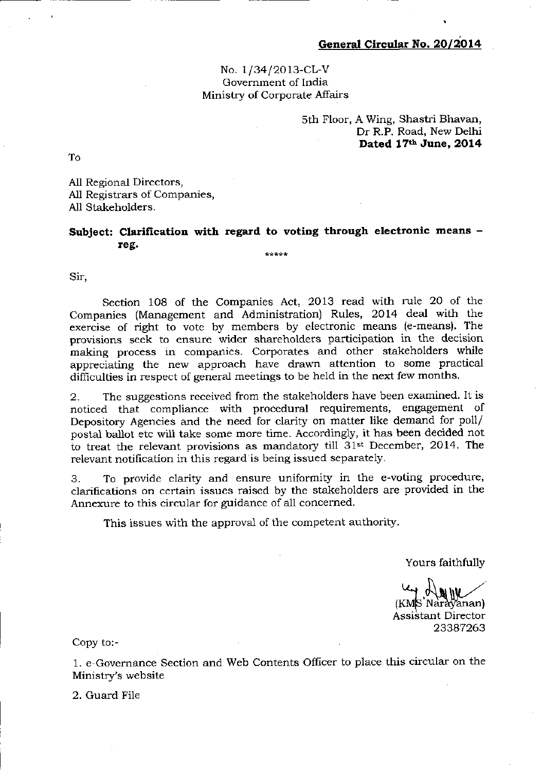## No. 1/34/2013-CL-V Government of India Ministry of Corporate Affairs

sth Floor, A Wing, Shastri Bhavan Dr R.P. Road, New Delhi Dated 17th June, 2014

To

All Regional Directors, A11 Registrars of Companies, All Stakeholders.

## Subject: Clarification with regard to voting through electronic means  $$ teg-یا به پار پار

Sir,

Section 108 of the Companies Act, 2013 read with rule 20 of the Companies (Management and Administration) Rules, 2Ol4 deal with the exercise of right to vote by members by electronic means (e-means), The provisions seek to ensure wider shareholders participation in the decision making process in companies. Corporates and other stakeholders while appreciating the new approach have drawn attention to some practical difficulties in respect of general meetings to be held in the next few months.

2. "fhe suggestions received from the stakeholders have been examined. It is noticed that compliance with procedural requirements, engagement of Depository Agencies and the need for clarity on matter like demand for poll/ postal ballot etc will take some more time. Accordingly, it has been decided not to treat the relevant provisions as mandatory till  $31st$  December, 2014. The relevant notification in this regard is being issued separately.

3. To provide clarity and ensure uniformity in the e-voting procedure, clarilications on certain issues raised by the stakeholders are provided in the Annexure to this circular for quidance of all concerned.

This issues with the approval of the competent authority.

Yours faithfully

(KMS Narayanan)<br>Assistant Director<br>23387263

Copy to:-

1. e Governance Section arld Web Contents Officer to place this circular on the Ministry's website

2. Guard File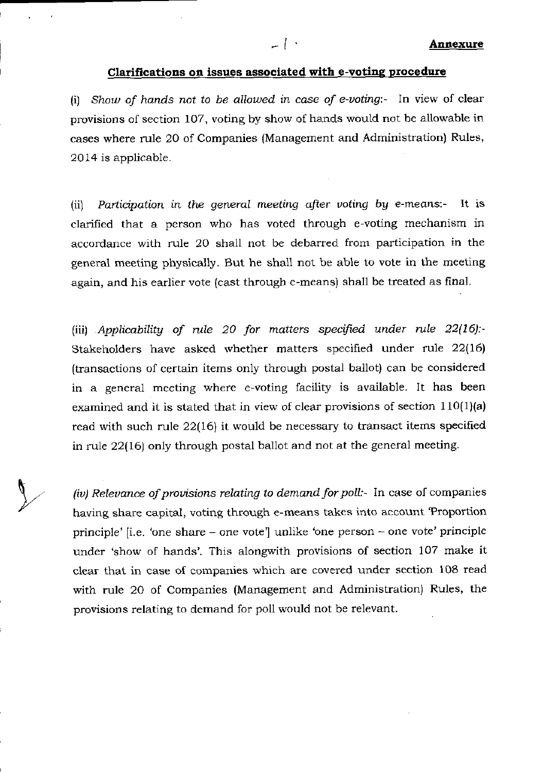## Clarifications on issues associated with e-voting procedure

 $-1$ 

(i) Show of hands not to be allowed in case of e-voting:- In view of clear provisions of section 107, voting by show of hands would not be allowable in cases where mle 20 of Companies (Management and Administration) Rules, 2014 is applicable.

(ii) Participation in the general meeting after voting by e-means:- It is clarified that a person who has voted through e-voting mechanism in accordance with rule 20 shall not be debarred from participation in the general meeting physically. But he shall not be able to vote in the meeting again, and his earlier vote (cast through e-means) shall be treated as final.

(iii) Applicability of rule 20 for matters specified under rule  $22(16)$ :-Stakeholders have asked whether matters specified under rule 22(16) (transactions of certain items only through postal ballot) can be considered in a general meeting where e-voting facility is available. It has been examined and it is stated that in view of clear provisions of section  $110(1)(a)$ read with such rule 22(16) it would be necessary to transact items specified in rule 22(16) only through postal ballot and not at the general meeting.

(iv) Relevance of provisions relating to demand for poll:- In case of companies having share capital, voting through e-means takes into account 'Proportion principle' [i.e. 'one share – one vote'] unlike 'one person – one vote' principle under 'show of hands'. This alongwith provisions of section 107 make it clear that in case of companies which are covered under section 1Og read with rule 20 of Companies (Management and Administration) Rules, the provisions relating to demand for poll would not be relevant.